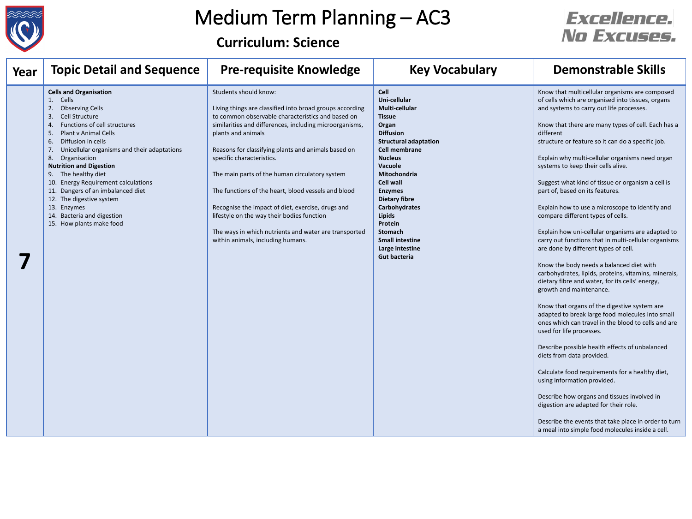

**Curriculum: Science**

| Year | <b>Topic Detail and Sequence</b>                                                                                                                                                                                                                                                                                                                                                                                                                                                                                          | <b>Pre-requisite Knowledge</b>                                                                                                                                                                                                                                                                                                                                                                                                                                                                                                                                                                                        | <b>Key Vocabulary</b>                                                                                                                                                                                                                                                                                                                                                                                    | <b>Demonstrable Skills</b>                                                                                                                                                                                                                                                                                                                                                                                                                                                                                                                                                                                                                                                                                                                                                                                                                                                                                                                                                                                                                                                                                                                                                                                                                                                                                                                                                                                                                          |
|------|---------------------------------------------------------------------------------------------------------------------------------------------------------------------------------------------------------------------------------------------------------------------------------------------------------------------------------------------------------------------------------------------------------------------------------------------------------------------------------------------------------------------------|-----------------------------------------------------------------------------------------------------------------------------------------------------------------------------------------------------------------------------------------------------------------------------------------------------------------------------------------------------------------------------------------------------------------------------------------------------------------------------------------------------------------------------------------------------------------------------------------------------------------------|----------------------------------------------------------------------------------------------------------------------------------------------------------------------------------------------------------------------------------------------------------------------------------------------------------------------------------------------------------------------------------------------------------|-----------------------------------------------------------------------------------------------------------------------------------------------------------------------------------------------------------------------------------------------------------------------------------------------------------------------------------------------------------------------------------------------------------------------------------------------------------------------------------------------------------------------------------------------------------------------------------------------------------------------------------------------------------------------------------------------------------------------------------------------------------------------------------------------------------------------------------------------------------------------------------------------------------------------------------------------------------------------------------------------------------------------------------------------------------------------------------------------------------------------------------------------------------------------------------------------------------------------------------------------------------------------------------------------------------------------------------------------------------------------------------------------------------------------------------------------------|
|      | <b>Cells and Organisation</b><br>1. Cells<br><b>Observing Cells</b><br>2.<br>Cell Structure<br>3.<br>Functions of cell structures<br>4.<br>Plant v Animal Cells<br>5.<br>Diffusion in cells<br>6.<br>Unicellular organisms and their adaptations<br>7.<br>8.<br>Organisation<br><b>Nutrition and Digestion</b><br>The healthy diet<br>9.<br>10. Energy Requirement calculations<br>11. Dangers of an imbalanced diet<br>12. The digestive system<br>13. Enzymes<br>14. Bacteria and digestion<br>15. How plants make food | Students should know:<br>Living things are classified into broad groups according<br>to common observable characteristics and based on<br>similarities and differences, including microorganisms,<br>plants and animals<br>Reasons for classifying plants and animals based on<br>specific characteristics.<br>The main parts of the human circulatory system<br>The functions of the heart, blood vessels and blood<br>Recognise the impact of diet, exercise, drugs and<br>lifestyle on the way their bodies function<br>The ways in which nutrients and water are transported<br>within animals, including humans. | <b>Cell</b><br>Uni-cellular<br>Multi-cellular<br><b>Tissue</b><br>Organ<br><b>Diffusion</b><br><b>Structural adaptation</b><br><b>Cell membrane</b><br><b>Nucleus</b><br><b>Vacuole</b><br><b>Mitochondria</b><br><b>Cell wall</b><br><b>Enzymes</b><br><b>Dietary fibre</b><br>Carbohydrates<br>Lipids<br>Protein<br><b>Stomach</b><br><b>Small intestine</b><br>Large intestine<br><b>Gut bacteria</b> | Know that multicellular organisms are composed<br>of cells which are organised into tissues, organs<br>and systems to carry out life processes.<br>Know that there are many types of cell. Each has a<br>different<br>structure or feature so it can do a specific job.<br>Explain why multi-cellular organisms need organ<br>systems to keep their cells alive.<br>Suggest what kind of tissue or organism a cell is<br>part of, based on its features.<br>Explain how to use a microscope to identify and<br>compare different types of cells.<br>Explain how uni-cellular organisms are adapted to<br>carry out functions that in multi-cellular organisms<br>are done by different types of cell.<br>Know the body needs a balanced diet with<br>carbohydrates, lipids, proteins, vitamins, minerals,<br>dietary fibre and water, for its cells' energy,<br>growth and maintenance.<br>Know that organs of the digestive system are<br>adapted to break large food molecules into small<br>ones which can travel in the blood to cells and are<br>used for life processes.<br>Describe possible health effects of unbalanced<br>diets from data provided.<br>Calculate food requirements for a healthy diet,<br>using information provided.<br>Describe how organs and tissues involved in<br>digestion are adapted for their role.<br>Describe the events that take place in order to turn<br>a meal into simple food molecules inside a cell. |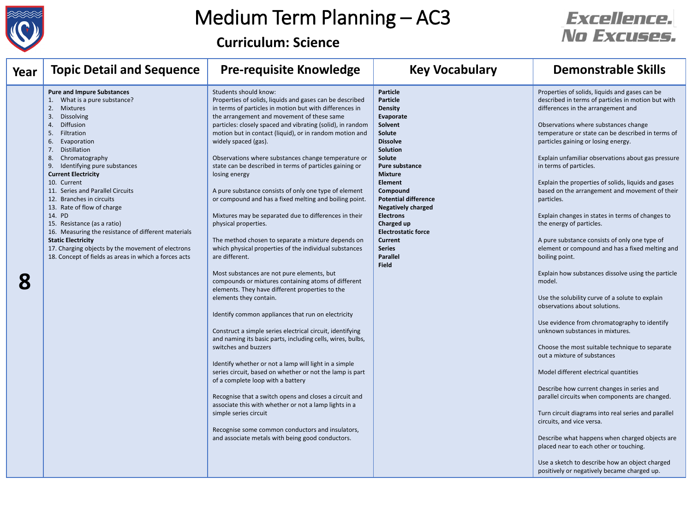

**Curriculum: Science**

| Year | <b>Topic Detail and Sequence</b>                                                                                                                                                                                                                                                                                                                                                                                                                                                                                                                                                                                                          | <b>Pre-requisite Knowledge</b>                                                                                                                                                                                                                                                                                                                                                                                                                                                                                                                                                                                                                                                                                                                                                                                                                                                                                                                                                                                                                                                                                                                                                                                                                                                                                                                                                                                                                                                                                                                                                                                                | <b>Key Vocabulary</b>                                                                                                                                                                                                                                                                                                                                                                                      | <b>Demonstrable Skills</b>                                                                                                                                                                                                                                                                                                                                                                                                                                                                                                                                                                                                                                                                                                                                                                                                                                                                                                                                                                                                                                                                                                                                                                                                                                                                                                                                                                                                                    |
|------|-------------------------------------------------------------------------------------------------------------------------------------------------------------------------------------------------------------------------------------------------------------------------------------------------------------------------------------------------------------------------------------------------------------------------------------------------------------------------------------------------------------------------------------------------------------------------------------------------------------------------------------------|-------------------------------------------------------------------------------------------------------------------------------------------------------------------------------------------------------------------------------------------------------------------------------------------------------------------------------------------------------------------------------------------------------------------------------------------------------------------------------------------------------------------------------------------------------------------------------------------------------------------------------------------------------------------------------------------------------------------------------------------------------------------------------------------------------------------------------------------------------------------------------------------------------------------------------------------------------------------------------------------------------------------------------------------------------------------------------------------------------------------------------------------------------------------------------------------------------------------------------------------------------------------------------------------------------------------------------------------------------------------------------------------------------------------------------------------------------------------------------------------------------------------------------------------------------------------------------------------------------------------------------|------------------------------------------------------------------------------------------------------------------------------------------------------------------------------------------------------------------------------------------------------------------------------------------------------------------------------------------------------------------------------------------------------------|-----------------------------------------------------------------------------------------------------------------------------------------------------------------------------------------------------------------------------------------------------------------------------------------------------------------------------------------------------------------------------------------------------------------------------------------------------------------------------------------------------------------------------------------------------------------------------------------------------------------------------------------------------------------------------------------------------------------------------------------------------------------------------------------------------------------------------------------------------------------------------------------------------------------------------------------------------------------------------------------------------------------------------------------------------------------------------------------------------------------------------------------------------------------------------------------------------------------------------------------------------------------------------------------------------------------------------------------------------------------------------------------------------------------------------------------------|
| 8    | <b>Pure and Impure Substances</b><br>What is a pure substance?<br>2.<br>Mixtures<br>Dissolving<br>3.<br>Diffusion<br>4.<br>Filtration<br>5.<br>Evaporation<br>6.<br>Distillation<br>7.<br>8.<br>Chromatography<br>Identifying pure substances<br>9.<br><b>Current Electricity</b><br>10. Current<br>11. Series and Parallel Circuits<br>12. Branches in circuits<br>13. Rate of flow of charge<br>14. PD<br>15. Resistance (as a ratio)<br>16. Measuring the resistance of different materials<br><b>Static Electricity</b><br>17. Charging objects by the movement of electrons<br>18. Concept of fields as areas in which a forces acts | Students should know:<br>Properties of solids, liquids and gases can be described<br>in terms of particles in motion but with differences in<br>the arrangement and movement of these same<br>particles: closely spaced and vibrating (solid), in random<br>motion but in contact (liquid), or in random motion and<br>widely spaced (gas).<br>Observations where substances change temperature or<br>state can be described in terms of particles gaining or<br>losing energy<br>A pure substance consists of only one type of element<br>or compound and has a fixed melting and boiling point.<br>Mixtures may be separated due to differences in their<br>physical properties.<br>The method chosen to separate a mixture depends on<br>which physical properties of the individual substances<br>are different.<br>Most substances are not pure elements, but<br>compounds or mixtures containing atoms of different<br>elements. They have different properties to the<br>elements they contain.<br>Identify common appliances that run on electricity<br>Construct a simple series electrical circuit, identifying<br>and naming its basic parts, including cells, wires, bulbs,<br>switches and buzzers<br>Identify whether or not a lamp will light in a simple<br>series circuit, based on whether or not the lamp is part<br>of a complete loop with a battery<br>Recognise that a switch opens and closes a circuit and<br>associate this with whether or not a lamp lights in a<br>simple series circuit<br>Recognise some common conductors and insulators,<br>and associate metals with being good conductors. | <b>Particle</b><br><b>Particle</b><br><b>Density</b><br>Evaporate<br>Solvent<br>Solute<br><b>Dissolve</b><br>Solution<br>Solute<br><b>Pure substance</b><br><b>Mixture</b><br><b>Element</b><br>Compound<br><b>Potential difference</b><br><b>Negatively charged</b><br><b>Electrons</b><br>Charged up<br><b>Electrostatic force</b><br><b>Current</b><br><b>Series</b><br><b>Parallel</b><br><b>Field</b> | Properties of solids, liquids and gases can be<br>described in terms of particles in motion but with<br>differences in the arrangement and<br>Observations where substances change<br>temperature or state can be described in terms of<br>particles gaining or losing energy.<br>Explain unfamiliar observations about gas pressure<br>in terms of particles.<br>Explain the properties of solids, liquids and gases<br>based on the arrangement and movement of their<br>particles.<br>Explain changes in states in terms of changes to<br>the energy of particles.<br>A pure substance consists of only one type of<br>element or compound and has a fixed melting and<br>boiling point.<br>Explain how substances dissolve using the particle<br>model.<br>Use the solubility curve of a solute to explain<br>observations about solutions.<br>Use evidence from chromatography to identify<br>unknown substances in mixtures.<br>Choose the most suitable technique to separate<br>out a mixture of substances<br>Model different electrical quantities<br>Describe how current changes in series and<br>parallel circuits when components are changed.<br>Turn circuit diagrams into real series and parallel<br>circuits, and vice versa.<br>Describe what happens when charged objects are<br>placed near to each other or touching.<br>Use a sketch to describe how an object charged<br>positively or negatively became charged up. |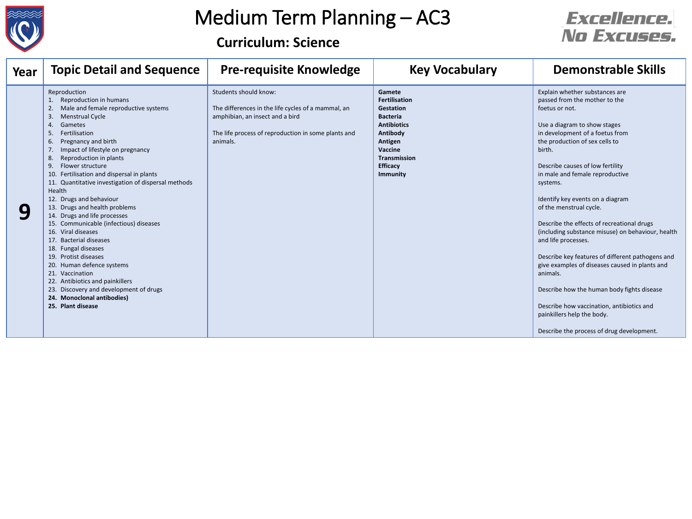

#### **Curriculum: Science**

| Year | <b>Topic Detail and Sequence</b>                                                                                                                                                                                                                                                                                                                                                                                                                                                                                                                                                                                                                                                                                                                                                                                       | <b>Pre-requisite Knowledge</b>                                                                                                                                                    | <b>Key Vocabulary</b>                                                                                                                                                                      | <b>Demonstrable Skills</b>                                                                                                                                                                                                                                                                                                                                                                                                                                                                                                                                                                                                                                                                                                                                           |
|------|------------------------------------------------------------------------------------------------------------------------------------------------------------------------------------------------------------------------------------------------------------------------------------------------------------------------------------------------------------------------------------------------------------------------------------------------------------------------------------------------------------------------------------------------------------------------------------------------------------------------------------------------------------------------------------------------------------------------------------------------------------------------------------------------------------------------|-----------------------------------------------------------------------------------------------------------------------------------------------------------------------------------|--------------------------------------------------------------------------------------------------------------------------------------------------------------------------------------------|----------------------------------------------------------------------------------------------------------------------------------------------------------------------------------------------------------------------------------------------------------------------------------------------------------------------------------------------------------------------------------------------------------------------------------------------------------------------------------------------------------------------------------------------------------------------------------------------------------------------------------------------------------------------------------------------------------------------------------------------------------------------|
|      | Reproduction<br>Reproduction in humans<br>Male and female reproductive systems<br>3.<br><b>Menstrual Cycle</b><br>Gametes<br>4.<br>Fertilisation<br>5.<br>Pregnancy and birth<br>6.<br>Impact of lifestyle on pregnancy<br>7.<br>Reproduction in plants<br>8.<br>Flower structure<br>9.<br>Fertilisation and dispersal in plants<br>11. Quantitative investigation of dispersal methods<br>Health<br>12. Drugs and behaviour<br>13. Drugs and health problems<br>14. Drugs and life processes<br>15. Communicable (infectious) diseases<br>16. Viral diseases<br>17. Bacterial diseases<br>18. Fungal diseases<br>19. Protist diseases<br>20. Human defence systems<br>21. Vaccination<br>22. Antibiotics and painkillers<br>23. Discovery and development of drugs<br>24. Monoclonal antibodies)<br>25. Plant disease | Students should know:<br>The differences in the life cycles of a mammal, an<br>amphibian, an insect and a bird<br>The life process of reproduction in some plants and<br>animals. | Gamete<br><b>Fertilisation</b><br>Gestation<br><b>Bacteria</b><br><b>Antibiotics</b><br>Antibody<br>Antigen<br><b>Vaccine</b><br><b>Transmission</b><br><b>Efficacy</b><br><b>Immunity</b> | Explain whether substances are<br>passed from the mother to the<br>foetus or not.<br>Use a diagram to show stages<br>in development of a foetus from<br>the production of sex cells to<br>birth.<br>Describe causes of low fertility<br>in male and female reproductive<br>systems.<br>Identify key events on a diagram<br>of the menstrual cycle.<br>Describe the effects of recreational drugs<br>(including substance misuse) on behaviour, health<br>and life processes.<br>Describe key features of different pathogens and<br>give examples of diseases caused in plants and<br>animals.<br>Describe how the human body fights disease<br>Describe how vaccination, antibiotics and<br>painkillers help the body.<br>Describe the process of drug development. |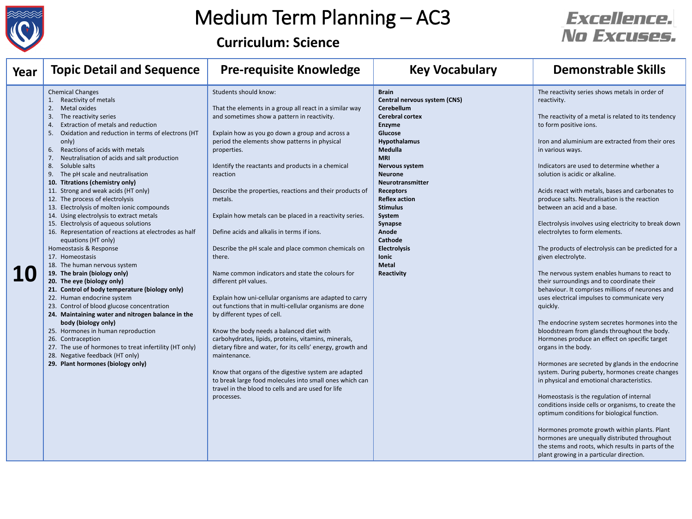

**Curriculum: Science**

| Year | <b>Topic Detail and Sequence</b>                                                                                                                                                                                                                                                                                                                                                                                                                                                                                                                                                                                                                                                                                                                                                                                                                                                                                                                                                                                                                                                                                                                                                                                                                                       | <b>Pre-requisite Knowledge</b>                                                                                                                                                                                                                                                                                                                                                                                                                                                                                                                                                                                                                                                                                                                                                                                                                                                                                                                                                                                                                                                                                                                                                  | <b>Key Vocabulary</b>                                                                                                                                                                                                                                                                                                                                                                                                      | <b>Demonstrable Skills</b>                                                                                                                                                                                                                                                                                                                                                                                                                                                                                                                                                                                                                                                                                                                                                                                                                                                                                                                                                                                                                                                                                                                                                                                                                                                                                                                                                                                                                                                                                                |
|------|------------------------------------------------------------------------------------------------------------------------------------------------------------------------------------------------------------------------------------------------------------------------------------------------------------------------------------------------------------------------------------------------------------------------------------------------------------------------------------------------------------------------------------------------------------------------------------------------------------------------------------------------------------------------------------------------------------------------------------------------------------------------------------------------------------------------------------------------------------------------------------------------------------------------------------------------------------------------------------------------------------------------------------------------------------------------------------------------------------------------------------------------------------------------------------------------------------------------------------------------------------------------|---------------------------------------------------------------------------------------------------------------------------------------------------------------------------------------------------------------------------------------------------------------------------------------------------------------------------------------------------------------------------------------------------------------------------------------------------------------------------------------------------------------------------------------------------------------------------------------------------------------------------------------------------------------------------------------------------------------------------------------------------------------------------------------------------------------------------------------------------------------------------------------------------------------------------------------------------------------------------------------------------------------------------------------------------------------------------------------------------------------------------------------------------------------------------------|----------------------------------------------------------------------------------------------------------------------------------------------------------------------------------------------------------------------------------------------------------------------------------------------------------------------------------------------------------------------------------------------------------------------------|---------------------------------------------------------------------------------------------------------------------------------------------------------------------------------------------------------------------------------------------------------------------------------------------------------------------------------------------------------------------------------------------------------------------------------------------------------------------------------------------------------------------------------------------------------------------------------------------------------------------------------------------------------------------------------------------------------------------------------------------------------------------------------------------------------------------------------------------------------------------------------------------------------------------------------------------------------------------------------------------------------------------------------------------------------------------------------------------------------------------------------------------------------------------------------------------------------------------------------------------------------------------------------------------------------------------------------------------------------------------------------------------------------------------------------------------------------------------------------------------------------------------------|
|      | <b>Chemical Changes</b><br>Reactivity of metals<br>2.<br>Metal oxides<br>The reactivity series<br>-3.<br>Extraction of metals and reduction<br>-4.<br>Oxidation and reduction in terms of electrons (HT<br>-5.<br>only)<br>Reactions of acids with metals<br>6.<br>Neutralisation of acids and salt production<br>7.<br>Soluble salts<br>8.<br>The pH scale and neutralisation<br>9.<br>10. Titrations (chemistry only)<br>11. Strong and weak acids (HT only)<br>12. The process of electrolysis<br>13. Electrolysis of molten ionic compounds<br>14. Using electrolysis to extract metals<br>15. Electrolysis of aqueous solutions<br>16. Representation of reactions at electrodes as half<br>equations (HT only)<br>Homeostasis & Response<br>17. Homeostasis<br>18. The human nervous system<br>19. The brain (biology only)<br>20. The eye (biology only)<br>21. Control of body temperature (biology only)<br>22. Human endocrine system<br>23. Control of blood glucose concentration<br>24. Maintaining water and nitrogen balance in the<br>body (biology only)<br>25. Hormones in human reproduction<br>26. Contraception<br>27. The use of hormones to treat infertility (HT only)<br>28. Negative feedback (HT only)<br>29. Plant hormones (biology only) | Students should know:<br>That the elements in a group all react in a similar way<br>and sometimes show a pattern in reactivity.<br>Explain how as you go down a group and across a<br>period the elements show patterns in physical<br>properties.<br>Identify the reactants and products in a chemical<br>reaction<br>Describe the properties, reactions and their products of<br>metals.<br>Explain how metals can be placed in a reactivity series.<br>Define acids and alkalis in terms if ions.<br>Describe the pH scale and place common chemicals on<br>there.<br>Name common indicators and state the colours for<br>different pH values.<br>Explain how uni-cellular organisms are adapted to carry<br>out functions that in multi-cellular organisms are done<br>by different types of cell.<br>Know the body needs a balanced diet with<br>carbohydrates, lipids, proteins, vitamins, minerals,<br>dietary fibre and water, for its cells' energy, growth and<br>maintenance.<br>Know that organs of the digestive system are adapted<br>to break large food molecules into small ones which can<br>travel in the blood to cells and are used for life<br>processes. | <b>Brain</b><br>Central nervous system (CNS)<br>Cerebellum<br><b>Cerebral cortex</b><br><b>Enzyme</b><br><b>Glucose</b><br>Hypothalamus<br>Medulla<br><b>MRI</b><br><b>Nervous system</b><br><b>Neurone</b><br><b>Neurotransmitter</b><br><b>Receptors</b><br><b>Reflex action</b><br><b>Stimulus</b><br>System<br>Synapse<br>Anode<br><b>Cathode</b><br><b>Electrolysis</b><br><b>lonic</b><br><b>Metal</b><br>Reactivity | The reactivity series shows metals in order of<br>reactivity.<br>The reactivity of a metal is related to its tendency<br>to form positive ions.<br>Iron and aluminium are extracted from their ores<br>in various ways.<br>Indicators are used to determine whether a<br>solution is acidic or alkaline.<br>Acids react with metals, bases and carbonates to<br>produce salts. Neutralisation is the reaction<br>between an acid and a base.<br>Electrolysis involves using electricity to break down<br>electrolytes to form elements.<br>The products of electrolysis can be predicted for a<br>given electrolyte.<br>The nervous system enables humans to react to<br>their surroundings and to coordinate their<br>behaviour. It comprises millions of neurones and<br>uses electrical impulses to communicate very<br>quickly.<br>The endocrine system secretes hormones into the<br>bloodstream from glands throughout the body.<br>Hormones produce an effect on specific target<br>organs in the body.<br>Hormones are secreted by glands in the endocrine<br>system. During puberty, hormones create changes<br>in physical and emotional characteristics.<br>Homeostasis is the regulation of internal<br>conditions inside cells or organisms, to create the<br>optimum conditions for biological function.<br>Hormones promote growth within plants. Plant<br>hormones are unequally distributed throughout<br>the stems and roots, which results in parts of the<br>plant growing in a particular direction. |